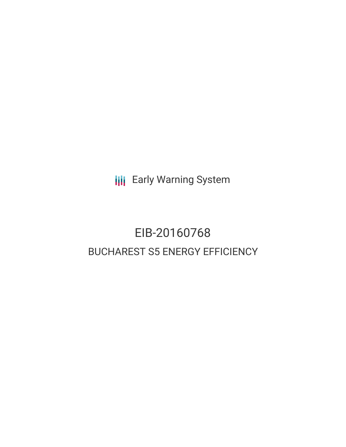**III** Early Warning System

# EIB-20160768 BUCHAREST S5 ENERGY EFFICIENCY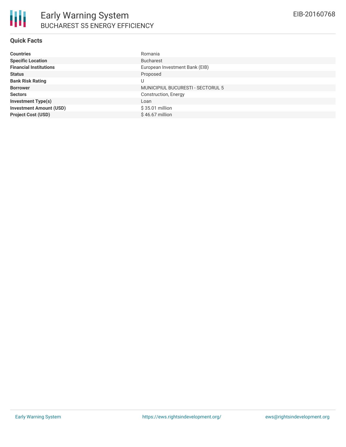| <b>Countries</b>               | Romania                                  |
|--------------------------------|------------------------------------------|
| <b>Specific Location</b>       | <b>Bucharest</b>                         |
| <b>Financial Institutions</b>  | European Investment Bank (EIB)           |
| <b>Status</b>                  | Proposed                                 |
| <b>Bank Risk Rating</b>        | U                                        |
| <b>Borrower</b>                | <b>MUNICIPIUL BUCURESTI - SECTORUL 5</b> |
| <b>Sectors</b>                 | Construction, Energy                     |
| <b>Investment Type(s)</b>      | Loan                                     |
| <b>Investment Amount (USD)</b> | \$35.01 million                          |
| <b>Project Cost (USD)</b>      | $$46.67$ million                         |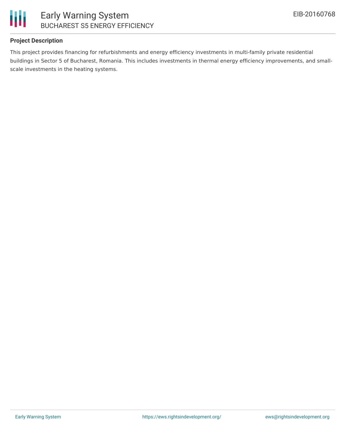

### **Project Description**

This project provides financing for refurbishments and energy efficiency investments in multi-family private residential buildings in Sector 5 of Bucharest, Romania. This includes investments in thermal energy efficiency improvements, and smallscale investments in the heating systems.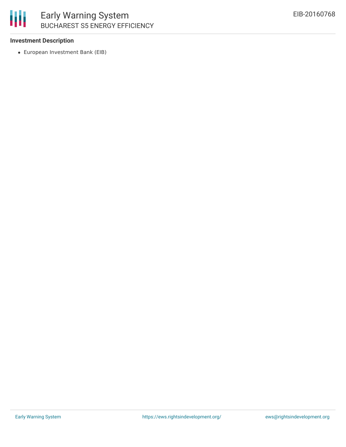

## Early Warning System BUCHAREST S5 ENERGY EFFICIENCY

### **Investment Description**

European Investment Bank (EIB)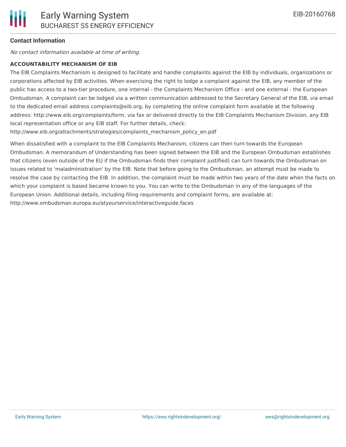#### **Contact Information**

No contact information available at time of writing.

#### **ACCOUNTABILITY MECHANISM OF EIB**

The EIB Complaints Mechanism is designed to facilitate and handle complaints against the EIB by individuals, organizations or corporations affected by EIB activities. When exercising the right to lodge a complaint against the EIB, any member of the public has access to a two-tier procedure, one internal - the Complaints Mechanism Office - and one external - the European Ombudsman. A complaint can be lodged via a written communication addressed to the Secretary General of the EIB, via email to the dedicated email address complaints@eib.org, by completing the online complaint form available at the following address: http://www.eib.org/complaints/form, via fax or delivered directly to the EIB Complaints Mechanism Division, any EIB local representation office or any EIB staff. For further details, check:

http://www.eib.org/attachments/strategies/complaints\_mechanism\_policy\_en.pdf

When dissatisfied with a complaint to the EIB Complaints Mechanism, citizens can then turn towards the European Ombudsman. A memorandum of Understanding has been signed between the EIB and the European Ombudsman establishes that citizens (even outside of the EU if the Ombudsman finds their complaint justified) can turn towards the Ombudsman on issues related to 'maladministration' by the EIB. Note that before going to the Ombudsman, an attempt must be made to resolve the case by contacting the EIB. In addition, the complaint must be made within two years of the date when the facts on which your complaint is based became known to you. You can write to the Ombudsman in any of the languages of the European Union. Additional details, including filing requirements and complaint forms, are available at: http://www.ombudsman.europa.eu/atyourservice/interactiveguide.faces